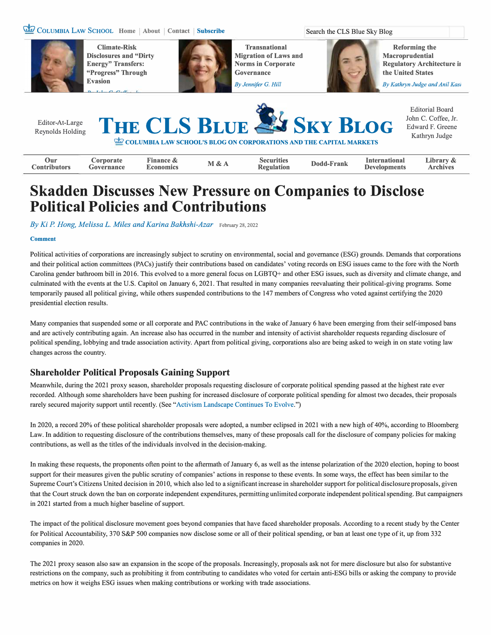## **Gta** COLUMBIA LAW SCHOOL Home | About | Contact | Subscribe



**Climate-Risk Disclosures and "Dirty Energy" Transfers: "Progress" Through Evasion** 



**Transnational Migration of Laws and Norms in Corporate Governance** 

*By Jennifer G. Hill* 

Search the CLS Blue Sky Blog

**Reforming the Macroprudential Regulatory Architecture in the United States** 

*By Kathryn Judge and Anil Kasi* 



# **Skadden Discusses New Pressure on Companies to Disclose Political Policies and Contributions**

*By Ki P. Hong, Melissa L. Miles and Karina Bakhshi-Azar* February 28, 2022

#### **Comment**

Political activities of corporations are increasingly subject to scrutiny on environmental, social and governance (ESG) grounds. Demands that corporations and their political action committees (PACs) justify their contributions based on candidates' voting records on ESG issues came to the fore with the North Carolina gender bathroom bill in 2016. This evolved to a more general focus on LGBTQ+ and other ESG issues, such as diversity and climate change, and culminated with the events at the U.S. Capitol on January 6, 2021. That resulted in many companies reevaluating their political-giving programs. Some temporarily paused all political giving, while others suspended contributions to the 147 members of Congress who voted against certifying the 2020 presidential election results.

Many companies that suspended some or all corporate and PAC contributions in the wake of January 6 have been emerging from their self-imposed bans and are actively contributing again. An increase also has occurred in the number and intensity of activist shareholder requests regarding disclosure of political spending, lobbying and trade association activity. Apart from political giving, corporations also are being asked to weigh in on state voting law changes across the country.

## **Shareholder Political Proposals Gaining Support**

Meanwhile, during the 2021 proxy season, shareholder proposals requesting disclosure of corporate political spending passed at the highest rate ever recorded. Although some shareholders have been pushing for increased disclosure of corporate political spending for almost two decades, their proposals rarely secured majority support until recently. (See "Activism Landscape Continues To Evolve.")

In 2020, a record 20% of these political shareholder proposals were adopted, a number eclipsed in 2021 with a new high of 40%, according to Bloomberg Law. In addition to requesting disclosure of the contributions themselves, many of these proposals call for the disclosure of company policies for making contributions, as well as the titles of the individuals involved in the decision-making.

In making these requests, the proponents often point to the aftermath of January 6, as well as the intense polarization of the 2020 election, hoping to boost support for their measures given the public scrutiny of companies' actions in response to these events. In some ways, the effect has been similar to the Supreme Court's Citizens United decision in 2010, which also led to a significant increase in shareholder support for political disclosure proposals, given that the Court struck down the ban on corporate independent expenditures, permitting unlimited corporate independent political spending. But campaigners in 2021 started from a much higher baseline of support.

The impact of the political disclosure movement goes beyond companies that have faced shareholder proposals. According to a recent study by the Center for Political Accountability, 370 S&P 500 companies now disclose some or all of their political spending, or ban at least one type ofit, up from 332 companies in 2020.

The 2021 proxy season also saw an expansion in the scope of the proposals. Increasingly, proposals ask not for mere disclosure but also for substantive restrictions on the company, such as prohibiting it from contributing to candidates who voted for certain anti-ESG bills or asking the company to provide metrics on how it weighs ESG issues when making contributions or working with trade associations.